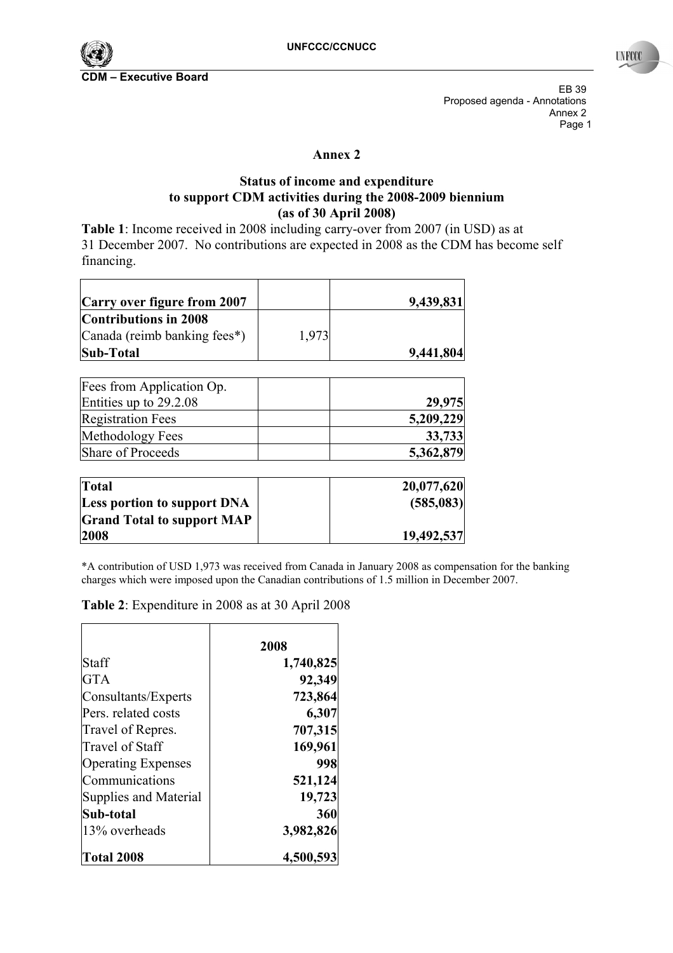

EB 39 Proposed agenda - Annotations Annex 2 Page 1

## **Annex 2**

## **Status of income and expenditure to support CDM activities during the 2008-2009 biennium (as of 30 April 2008)**

**Table 1**: Income received in 2008 including carry-over from 2007 (in USD) as at 31 December 2007. No contributions are expected in 2008 as the CDM has become self financing.

| Carry over figure from 2007  |       | 9,439,831 |
|------------------------------|-------|-----------|
| <b>Contributions in 2008</b> |       |           |
| Canada (reimb banking fees*) | 1.973 |           |
| <b>Sub-Total</b>             |       | 9,441,804 |

| Fees from Application Op. |           |
|---------------------------|-----------|
| Entities up to 29.2.08    | 29,975    |
| <b>Registration Fees</b>  | 5,209,229 |
| Methodology Fees          | 33,733    |
| Share of Proceeds         | 5,362,879 |

| Total                             | 20,077,620 |
|-----------------------------------|------------|
| Less portion to support DNA       | (585, 083) |
| <b>Grand Total to support MAP</b> |            |
| 2008                              | 19,492,537 |

\*A contribution of USD 1,973 was received from Canada in January 2008 as compensation for the banking charges which were imposed upon the Canadian contributions of 1.5 million in December 2007.

|                           | 2008      |
|---------------------------|-----------|
| Staff                     | 1,740,825 |
| <b>GTA</b>                | 92,349    |
| Consultants/Experts       | 723,864   |
| Pers. related costs       | 6,307     |
| Travel of Repres.         | 707,315   |
| Travel of Staff           | 169,961   |
| <b>Operating Expenses</b> | 998       |
| Communications            | 521,124   |
| Supplies and Material     | 19,723    |
| Sub-total                 | 360       |
| 13% overheads             | 3,982,826 |
| <b>Total 2008</b>         | 4,500,593 |

**Table 2**: Expenditure in 2008 as at 30 April 2008